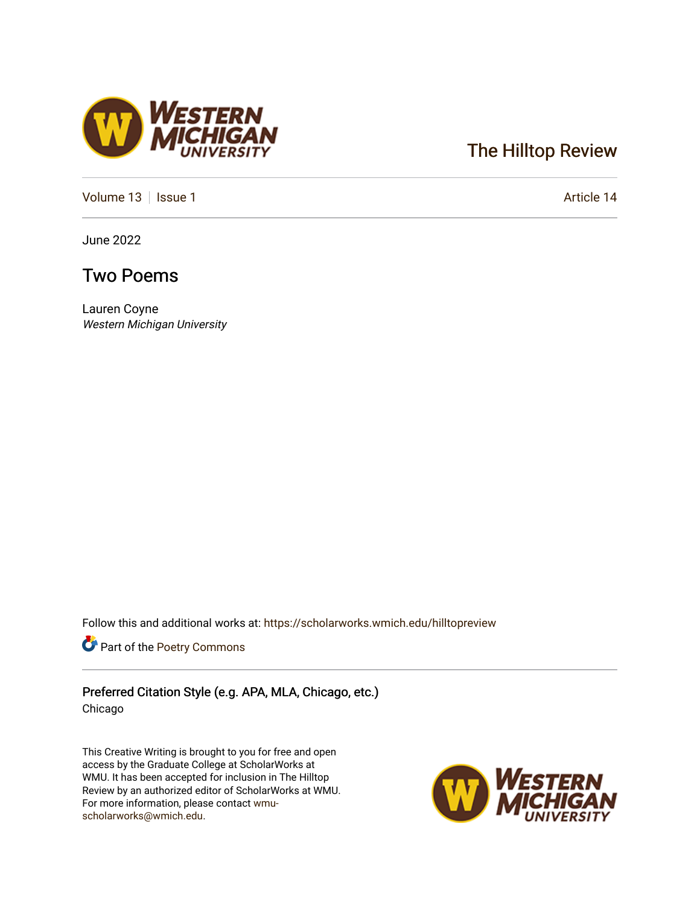## [The Hilltop Review](https://scholarworks.wmich.edu/hilltopreview)

[Volume 13](https://scholarworks.wmich.edu/hilltopreview/vol13) | [Issue 1](https://scholarworks.wmich.edu/hilltopreview/vol13/iss1) Article 14

June 2022

## Two Poems

Lauren Coyne Western Michigan University

Follow this and additional works at: [https://scholarworks.wmich.edu/hilltopreview](https://scholarworks.wmich.edu/hilltopreview?utm_source=scholarworks.wmich.edu%2Fhilltopreview%2Fvol13%2Fiss1%2F14&utm_medium=PDF&utm_campaign=PDFCoverPages)

Part of the [Poetry Commons](https://network.bepress.com/hgg/discipline/1153?utm_source=scholarworks.wmich.edu%2Fhilltopreview%2Fvol13%2Fiss1%2F14&utm_medium=PDF&utm_campaign=PDFCoverPages) 

Preferred Citation Style (e.g. APA, MLA, Chicago, etc.) Chicago

This Creative Writing is brought to you for free and open access by the Graduate College at ScholarWorks at WMU. It has been accepted for inclusion in The Hilltop Review by an authorized editor of ScholarWorks at WMU. For more information, please contact [wmu](mailto:wmu-scholarworks@wmich.edu)[scholarworks@wmich.edu.](mailto:wmu-scholarworks@wmich.edu)



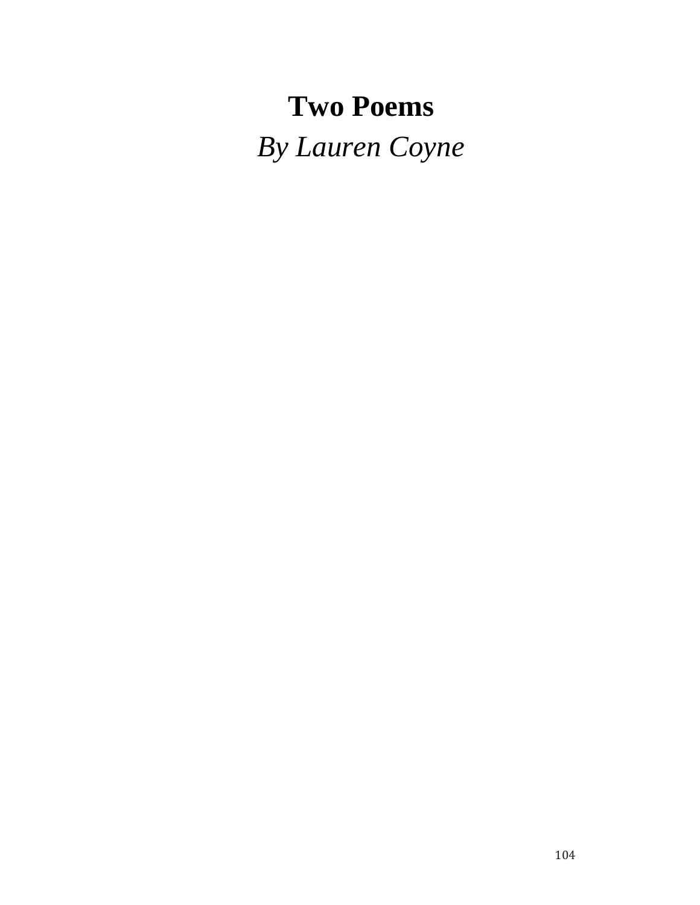# **Two Poems** *By Lauren Coyne*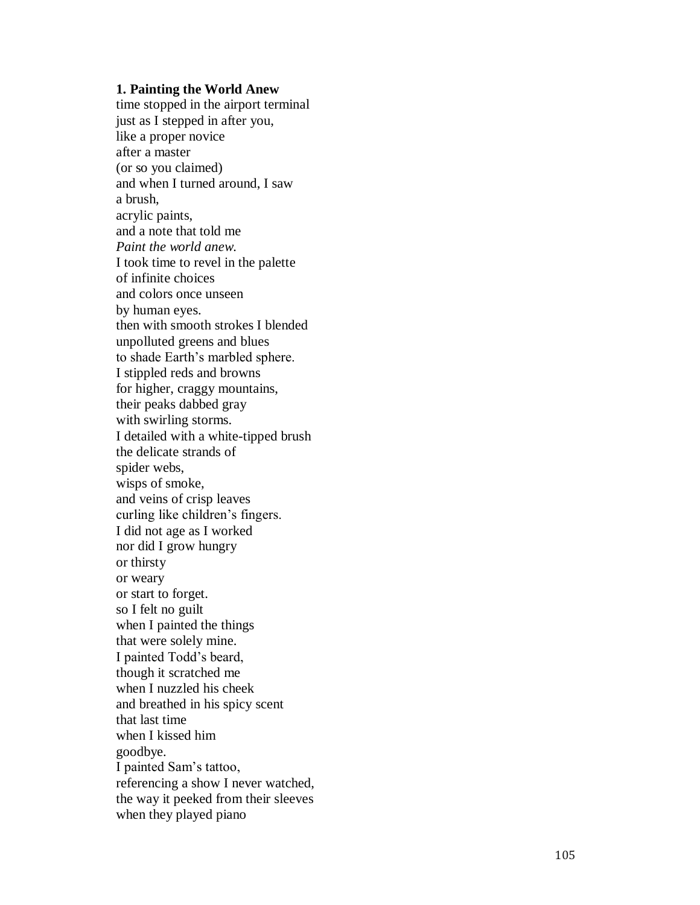#### **1. Painting the World Anew**

time stopped in the airport terminal just as I stepped in after you, like a proper novice after a master (or so you claimed) and when I turned around, I saw a brush, acrylic paints, and a note that told me *Paint the world anew.* I took time to revel in the palette of infinite choices and colors once unseen by human eyes. then with smooth strokes I blended unpolluted greens and blues to shade Earth's marbled sphere. I stippled reds and browns for higher, craggy mountains, their peaks dabbed gray with swirling storms. I detailed with a white -tipped brush the delicate strands of spider webs, wisps of smoke, and veins of crisp leaves curling like children's fingers. I did not age as I worked nor did I grow hungry or thirsty or weary or start to forget. so I felt no guilt when I painted the things that were solely mine. I painted Todd's beard, though it scratched me when I nuzzled his cheek and breathed in his spicy scent that last time when I kissed him goodbye. I painted Sam's tattoo, referencing a show I never watched, the way it peeked from their sleeves when they played piano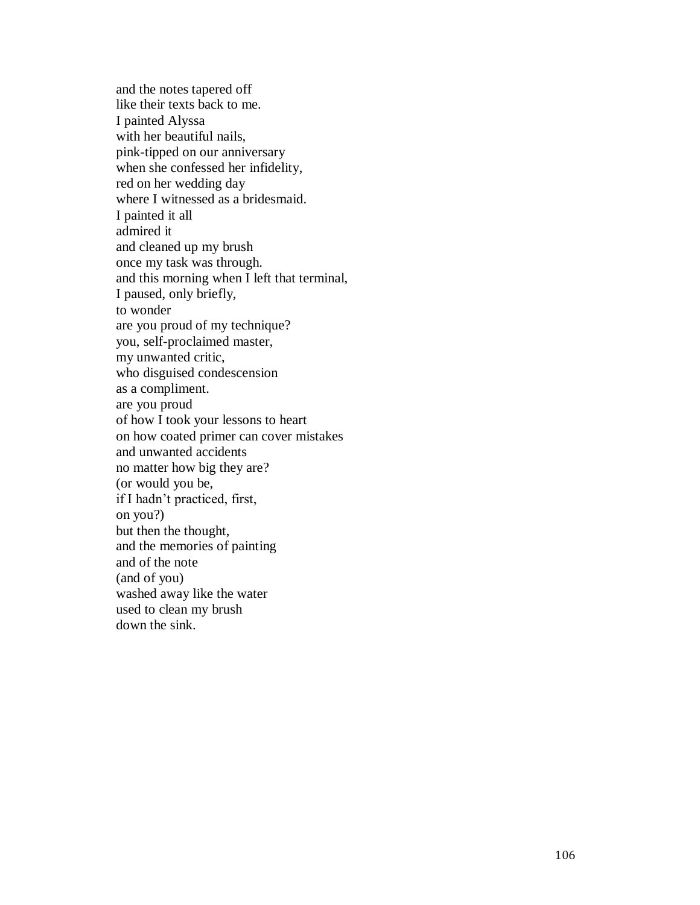and the notes tapered off like their texts back to me. I painted Alyssa with her beautiful nails, pink -tipped on our anniversary when she confessed her infidelity, red on her wedding day where I witnessed as a bridesmaid. I painted it all admired it and cleaned up my brush once my task was through. and this morning when I left that terminal, I paused, only briefly, to wonder are you proud of my technique? you, self-proclaimed master, my unwanted critic, who disguised condescension as a compliment. are you proud of how I took your lessons to heart on how coated primer can cover mistakes and unwanted accidents no matter how big they are? (or would you be, if I hadn't practiced, first, on you?) but then the thought, and the memories of painting and of the note (and of you) washed away like the water used to clean my brush down the sink.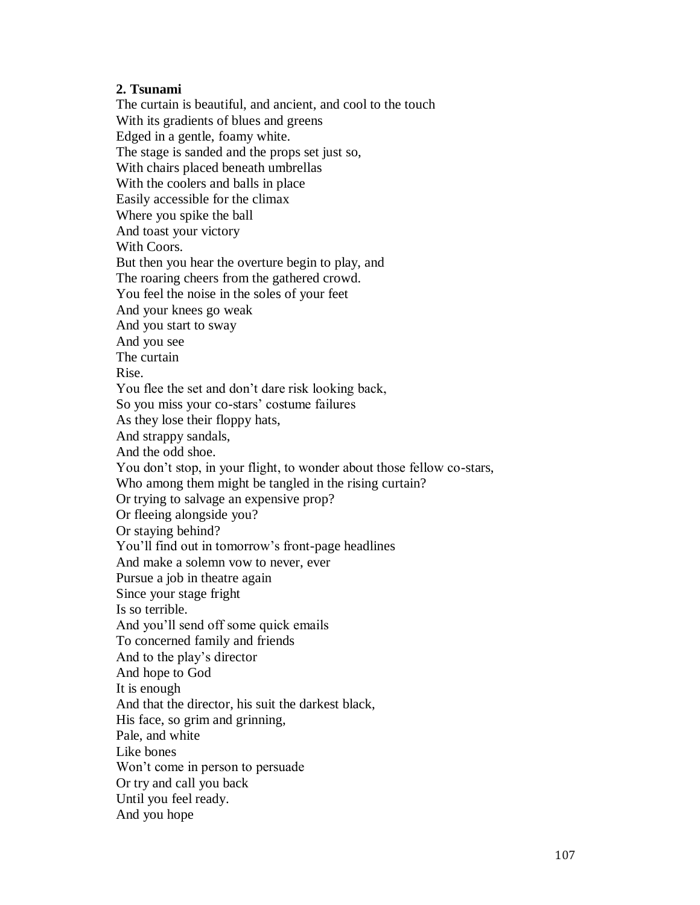### **2. Tsunami**

The curtain is beautiful, and ancient, and cool to the touch With its gradients of blues and greens Edged in a gentle, foamy white. The stage is sanded and the props set just so, With chairs placed beneath umbrellas With the coolers and balls in place Easily accessible for the climax Where you spike the ball And toast your victory With Coors. But then you hear the overture begin to play, and The roaring cheers from the gathered crowd. You feel the noise in the soles of your feet And your knees go weak And you start to sway And you see The curtain Rise. You flee the set and don't dare risk looking back, So you miss your co-stars' costume failures As they lose their floppy hats, And strappy sandals, And the odd shoe. You don't stop, in your flight, to wonder about those fellow co-stars, Who among them might be tangled in the rising curtain? Or trying to salvage an expensive prop? Or fleeing alongside you? Or staying behind? You'll find out in tomorrow's front-page headlines And make a solemn vow to never, ever Pursue a job in theatre again Since your stage fright Is so terrible. And you'll send off some quick emails To concerned family and friends And to the play's director And hope to God It is enough And that the director, his suit the darkest black, His face, so grim and grinning, Pale, and white Like bones Won't come in person to persuade Or try and call you back Until you feel ready. And you hope